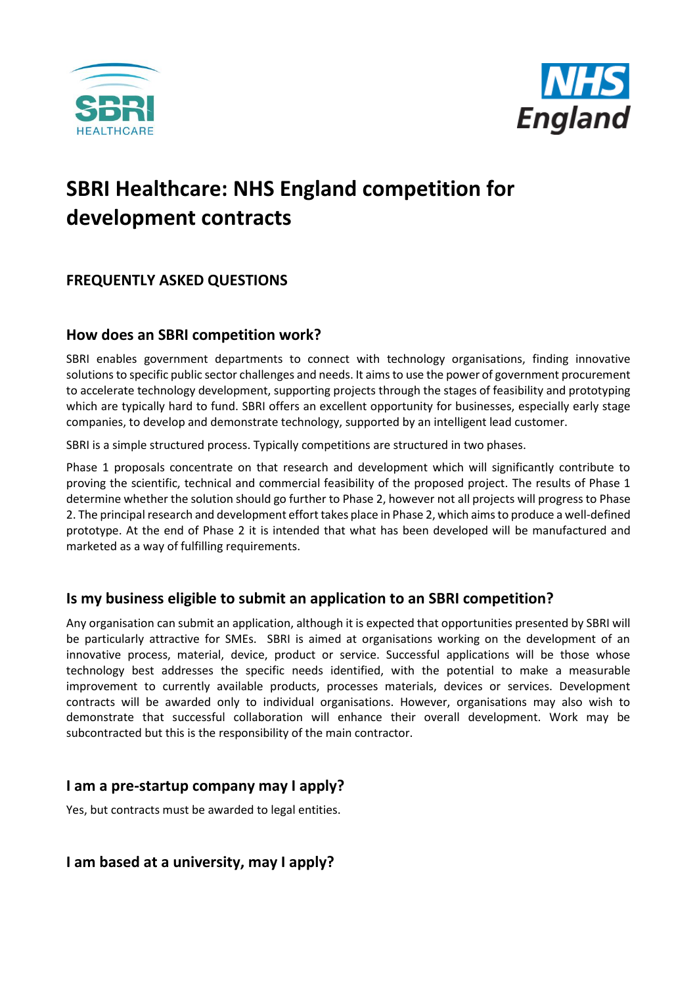



# **SBRI Healthcare: NHS England competition for development contracts**

# **FREQUENTLY ASKED QUESTIONS**

## **How does an SBRI competition work?**

SBRI enables government departments to connect with technology organisations, finding innovative solutions to specific public sector challenges and needs. It aims to use the power of government procurement to accelerate technology development, supporting projects through the stages of feasibility and prototyping which are typically hard to fund. SBRI offers an excellent opportunity for businesses, especially early stage companies, to develop and demonstrate technology, supported by an intelligent lead customer.

SBRI is a simple structured process. Typically competitions are structured in two phases.

Phase 1 proposals concentrate on that research and development which will significantly contribute to proving the scientific, technical and commercial feasibility of the proposed project. The results of Phase 1 determine whether the solution should go further to Phase 2, however not all projects will progress to Phase 2. The principal research and development effort takes place in Phase 2, which aims to produce a well-defined prototype. At the end of Phase 2 it is intended that what has been developed will be manufactured and marketed as a way of fulfilling requirements.

## **Is my business eligible to submit an application to an SBRI competition?**

Any organisation can submit an application, although it is expected that opportunities presented by SBRI will be particularly attractive for SMEs. SBRI is aimed at organisations working on the development of an innovative process, material, device, product or service. Successful applications will be those whose technology best addresses the specific needs identified, with the potential to make a measurable improvement to currently available products, processes materials, devices or services. Development contracts will be awarded only to individual organisations. However, organisations may also wish to demonstrate that successful collaboration will enhance their overall development. Work may be subcontracted but this is the responsibility of the main contractor.

## **I am a pre-startup company may I apply?**

Yes, but contracts must be awarded to legal entities.

## **I am based at a university, may I apply?**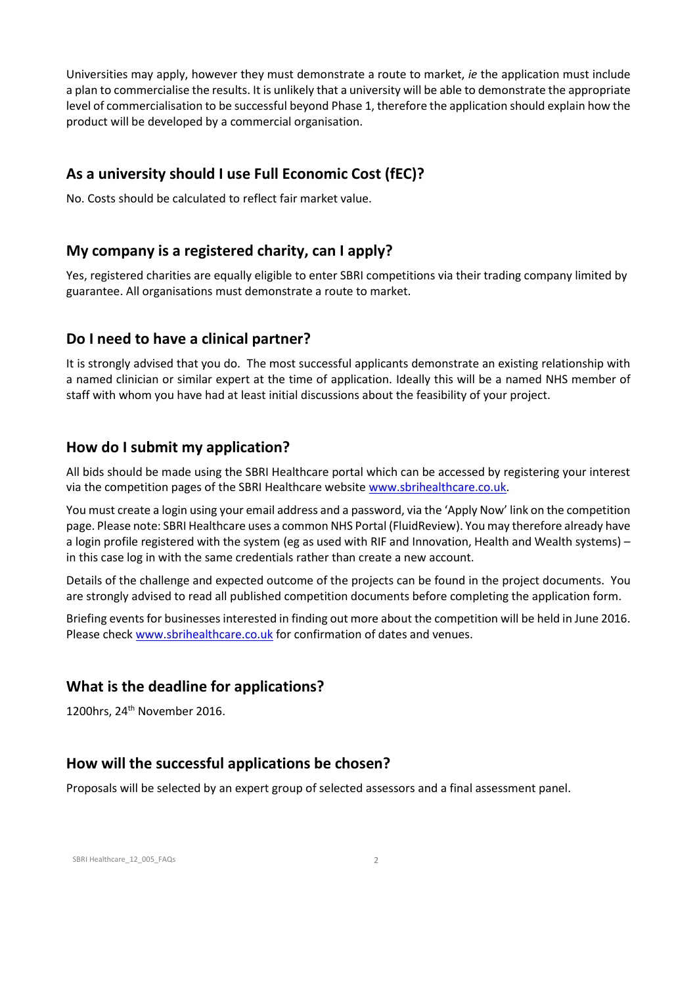Universities may apply, however they must demonstrate a route to market, *ie* the application must include a plan to commercialise the results. It is unlikely that a university will be able to demonstrate the appropriate level of commercialisation to be successful beyond Phase 1, therefore the application should explain how the product will be developed by a commercial organisation.

## **As a university should I use Full Economic Cost (fEC)?**

No. Costs should be calculated to reflect fair market value.

#### **My company is a registered charity, can I apply?**

Yes, registered charities are equally eligible to enter SBRI competitions via their trading company limited by guarantee. All organisations must demonstrate a route to market.

#### **Do I need to have a clinical partner?**

It is strongly advised that you do. The most successful applicants demonstrate an existing relationship with a named clinician or similar expert at the time of application. Ideally this will be a named NHS member of staff with whom you have had at least initial discussions about the feasibility of your project.

#### **How do I submit my application?**

All bids should be made using the SBRI Healthcare portal which can be accessed by registering your interest via the competition pages of the SBRI Healthcare website [www.sbrihealthcare.co.uk.](http://www.sbrihealthcare.co.uk/)

You must create a login using your email address and a password, via the 'Apply Now' link on the competition page. Please note: SBRI Healthcare uses a common NHS Portal (FluidReview). You may therefore already have a login profile registered with the system (eg as used with RIF and Innovation, Health and Wealth systems) – in this case log in with the same credentials rather than create a new account.

Details of the challenge and expected outcome of the projects can be found in the project documents. You are strongly advised to read all published competition documents before completing the application form.

Briefing events for businesses interested in finding out more about the competition will be held in June 2016. Please check [www.sbrihealthcare.co.uk](http://www.sbrihealthcare.co.uk/) for confirmation of dates and venues.

#### **What is the deadline for applications?**

1200hrs, 24<sup>th</sup> November 2016.

#### **How will the successful applications be chosen?**

Proposals will be selected by an expert group of selected assessors and a final assessment panel.